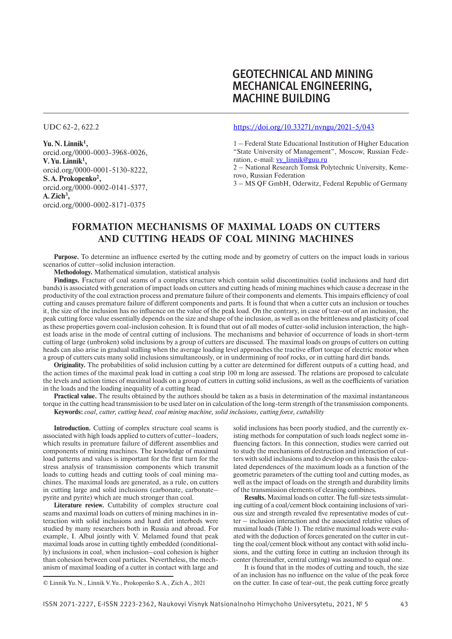# GEOTECHNICAL AND MINING MECHANICAL ENGINEERING, **MACHINE BUILDING**

UDC 62-2, 622.2

**Yu.N.Linnik1 ,** orcid.org/0000-0003-3968-0026, **V.Yu.Linnik1 ,** orcid.org/0000-0001-5130-8222, **S.A.Prokopenko2 ,** orcid.org/0000-0002-0141-5377, **A.Zich3 ,** orcid.org/0000-0002-8171-0375

### https://doi.org/10.33271/nvngu/2021-5/043

1 – Federal State Educational Institution of Higher Education "State University of Management", Moscow, Russian Federation, e-mail: vy\_linnik@guu.ru

2 – National Research Tomsk Polytechnic University, Kemerovo, Russian Federation

3 – MS QF GmbH, Oderwitz, Federal Republic of Germany

# **FORMATION MECHANISMS OF MAXIMAL LOADS ON CUTTERS AND CUTTING HEADS OF COAL MINING MACHINES**

**Purpose.** To determine an influence exerted by the cutting mode and by geometry of cutters on the impact loads in various scenarios of cutter–solid inclusion interaction.

**Methodology.** Mathematical simulation, statistical analysis

**Findings.** Fracture of coal seams of a complex structure which contain solid discontinuities (solid inclusions and hard dirt bands) is associated with generation of impact loads on cutters and cutting heads of mining machines which cause a decrease in the productivity of the coal extraction process and premature failure of their components and elements. This impairs efficiency of coal cutting and causes premature failure of different components and parts. It is found that when a cutter cuts an inclusion or touches it, the size of the inclusion has no influence on the value of the peak load. On the contrary, in case of tear-out of an inclusion, the peak cutting force value essentially depends on the size and shape of the inclusion, as well as on the brittleness and plasticity of coal as these properties govern coal-inclusion cohesion. It is found that out of all modes of cutter-solid inclusion interaction, the highest loads arise in the mode of central cutting of inclusions. The mechanisms and behavior of occurrence of loads in short-term cutting of large (unbroken) solid inclusions by a group of cutters are discussed. The maximal loads on groups of cutters on cutting heads can also arise in gradual stalling when the average loading level approaches the tractive effort torque of electric motor when a group of cutters cuts many solid inclusions simultaneously, or in undermining of roof rocks, or in cutting hard dirt bands.

**Originality.** The probabilities of solid inclusion cutting by a cutter are determined for different outputs of a cutting head, and the action times of the maximal peak load in cutting a coal strip 100 m long are assessed. The relations are proposed to calculate the levels and action times of maximal loads on a group of cutters in cutting solid inclusions, as well as the coefficients of variation in the loads and the loading inequality of a cutting head.

**Practical value.** The results obtained by the authors should be taken as a basis in determination of the maximal instantaneous torque in the cutting head transmission to be used later on in calculation of the long-term strength of the transmission components. **Keywords:** *coal, cutter, cutting head, coal mining machine, solid inclusions, cutting force, cuttability*

**Introduction.** Cutting of complex structure coal seams is associated with high loads applied to cutters of cutter-loaders, which results in premature failure of different assemblies and components of mining machines. The knowledge of maximal load patterns and values is important for the first turn for the stress analysis of transmission components which transmit loads to cutting heads and cutting tools of coal mining machines. The maximal loads are generated, as a rule, on cutters in cutting large and solid inclusions (carbonate, carbonate– pyrite and pyrite) which are much stronger than coal.

**Literature review.** Cuttability of complex structure coal seams and maximal loads on cutters of mining machines in interaction with solid inclusions and hard dirt interbeds were studied by many researchers both in Russia and abroad. For example, I. Albul jointly with V. Melamed found that peak maximal loads arose in cutting tightly embedded (conditionally) inclusions in coal, when inclusion–coal cohesion is higher than cohesion between coal particles. Nevertheless, the mechanism of maximal loading of a cutter in contact with large and

solid inclusions has been poorly studied, and the currently existing methods for computation of such loads neglect some influencing factors. In this connection, studies were carried out to study the mechanisms of destruction and interaction of cutters with solid inclusions and to develop on this basis the calculated dependences of the maximum loads as a function of the geometric parameters of the cutting tool and cutting modes, as well as the impact of loads on the strength and durability limits of the transmission elements of cleaning combines.

**Results.** Maximal loads on cutter. The full-size tests simulating cutting of a coal/cement block containing inclusions of various size and strength revealed five representative modes of cutter – inclusion interaction and the associated relative values of maximal loads (Table 1). The relative maximal loads were evaluated with the deduction of forces generated on the cutter in cutting the coal/cement block without any contact with solid inclusions, and the cutting force in cutting an inclusion through its center (hereinafter, central cutting) was assumed to equal one.

It is found that in the modes of cutting and touch, the size of an inclusion has no influence on the value of the peak force on the cutter. In case of tear-out, the peak cutting force greatly

<sup>©</sup> Linnik Yu.N., Linnik V.Yu., Prokopenko S.A., Zich A., 2021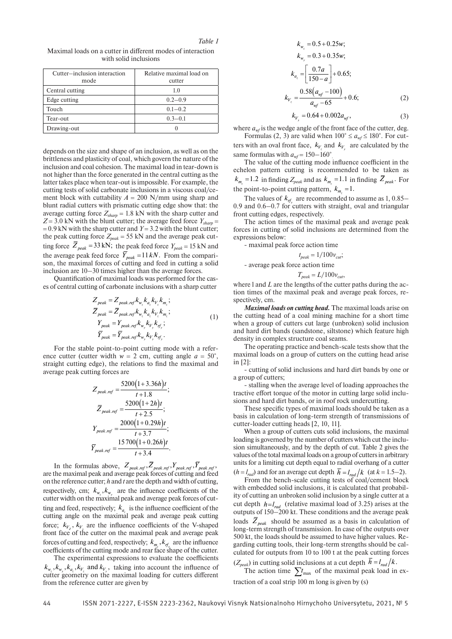*Table 1*

Maximal loads on a cutter in different modes of interaction with solid inclusions

| Cutter-inclusion interaction | Relative maximal load on |  |
|------------------------------|--------------------------|--|
| mode                         | cutter                   |  |
| Central cutting              | 1.0                      |  |
| Edge cutting                 | $0.2 - 0.9$              |  |
| Touch                        | $0.1 - 0.2$              |  |
| Tear-out                     | $0.3 - 0.1$              |  |
| Drawing-out                  |                          |  |

depends on the size and shape of an inclusion, as well as on the brittleness and plasticity of coal, which govern the nature of the inclusion and coal cohesion. The maximal load in tear-down is not higher than the force generated in the central cutting as the latter takes place when tear-out is impossible. For example, the cutting tests of solid carbonate inclusions in a viscous coal/cement block with cuttability  $A = 200$  N/mm using sharp and blunt radial cutters with prismatic cutting edge show that: the average cutting force  $Z_{sharp} = 1.8 \text{ kN}$  with the sharp cutter and  $Z = 3.0$  kN with the blunt cutter; the average feed force  $Y_{sharp}$  $= 0.9$  kN with the sharp cutter and *Y* = 3.2 with the blunt cutter; the peak cutting force  $Z_{peak} = 55$  kN and the average peak cutting force  $Z_{peak} = 33 \text{ kN}$ ; the peak feed force  $Y_{peak} = 15 \text{ kN}$  and the average peak feed force  $Y_{peak} = 11 kN$ . From the comparison, the maximal forces of cutting and feed in cutting a solid inclusion are 10–30 times higher than the average forces.

Quantification of maximal loads was performed for the cases of central cutting of carbonate inclusions with a sharp cutter

$$
Z_{peak} = Z_{peak,ref} k_{w_k} k_{a_k} k_{V_k} k_{m_k};
$$
  
\n
$$
\overline{Z}_{peak} = \overline{Z}_{peak,ref} k_{w_k} k_{a_k} k_{V_k} k_{m_k};
$$
  
\n
$$
Y_{peak} = Y_{peak,ref} k_{w_y} k_{V_y} k_{f_y};
$$
  
\n
$$
\overline{Y}_{peak} = \overline{Y}_{peak,ref} k_{w_y} k_{V_y} k_{f_y}.
$$
  
\n(1)

For the stable point-to-point cutting mode with a reference cutter (cutter width  $w = 2$  cm, cutting angle  $a = 50^{\circ}$ , straight cutting edge), the relations to find the maximal and average peak cutting forces are

$$
Z_{peak.ref} = \frac{5200(1+3.36h)t}{t+1.8};
$$
  
\n
$$
\overline{Z}_{peak.ref} = \frac{5200(1+2h)t}{t+2.5};
$$
  
\n
$$
Y_{peak.ref} = \frac{2000(1+0.29h)t}{t+3.7};
$$
  
\n
$$
\overline{Y}_{peak.ref} = \frac{15700(1+0.26h)t}{t+3.4}.
$$

In the formulas above,  $Z_{\text{peak.ref}}, Z_{\text{peak.ref}}, Y_{\text{peak.ref}}, Y_{\text{peak.ref}},$ are the maximal peak and average peak forces of cutting and feed on the reference cutter; *h* and *t* are the depth and width of cutting, respectively, cm;  $k_{w_z}$ ,  $k_{w_y}$  are the influence coefficients of the cutter width on the maximal peak and average peak forces of cutting and feed, respectively;  $k_a$  is the influence coefficient of the cutting angle on the maximal peak and average peak cutting force;  $k_{V_z}$ ,  $k_{V_y}$  are the influence coefficients of the V-shaped front face of the cutter on the maximal peak and average peak forces of cutting and feed, respectively;  $k_{m_z}$ ,  $k_{m_z}$ , are the influence coefficients of the cutting mode and rear face shape of the cutter.

The experimental expressions to evaluate the coefficients  $k_{w_z}, k_{w_y}, k_{a_z}, k_{V_z}$  and  $k_{V_y}$ , taking into account the influence of cutter geometry on the maximal loading for cutters different from the reference cutter are given by

$$
k_{w_z} = 0.5 + 0.25w;
$$
  
\n
$$
k_{w_y} = 0.3 + 0.35w;
$$
  
\n
$$
k_{a_z} = \left[\frac{0.7a}{150 - a}\right] + 0.65;
$$
  
\n
$$
k_{V_z} = \frac{0.58(a_{wf} - 100)}{a_{wf} - 65} + 0.6;
$$
\n(2)

$$
k_{V_y} = 0.64 + 0.002a_{wf},\tag{3}
$$

where  $a_{wf}$  is the wedge angle of the front face of the cutter, deg.

Formulas (2, 3) are valid when  $100^{\circ} \le a_{wf} \le 180^{\circ}$ . For cutters with an oval front face,  $k_{V_z}$  and  $k_{V_y}$  are calculated by the same formulas with  $a_{wf} = 150-160^{\circ}$ 

The value of the cutting mode influence coefficient in the echelon pattern cutting is recommended to be taken as  $k_{m_z} = 1.2$  in finding  $Z_{peak}$  and as  $k_{m_z} = 1.1$  in finding  $Z_{peak}$ . For the point-to-point cutting pattern,  $k_{m_z} = 1$ .

The values of  $k_{rf}$  are recommended to assume as 1, 0.85– 0.9 and 0.6–0.7 for cutters with straight, oval and triangular front cutting edges, respectively.

The action times of the maximal peak and average peak forces in cutting of solid inclusions are determined from the expressions below:

- maximal peak force action time

$$
t_{peak} = 1/100v_{\text{cut}};
$$

- average peak force action time

$$
T_{peak} = L/100v_{\text{cut}},
$$

where l and *L* are the lengths of the cutter paths during the action times of the maximal peak and average peak forces, respectively, cm.

*Maximal loads on cutting head.* The maximal loads arise on the cutting head of a coal mining machine for a short time when a group of cutters cut large (unbroken) solid inclusion and hard dirt bands (sandstone, siltstone) which feature high density in complex structure coal seams.

The operating practice and bench-scale tests show that the maximal loads on a group of cutters on the cutting head arise in [2]:

- cutting of solid inclusions and hard dirt bands by one or a group of cutters;

- stalling when the average level of loading approaches the tractive effort torque of the motor in cutting large solid inclusions and hard dirt bands, or in roof rock undercutting.

These specific types of maximal loads should be taken as a basis in calculation of long-term strength of transmissions of cutter-loader cutting heads [2, 10, 11].

When a group of cutters cuts solid inclusions, the maximal loading is governed by the number of cutters which cut the inclusion simultaneously, and by the depth of cut. Table 2 gives the values of the total maximal loads on a group of cutters in arbitrary units for a limiting cut depth equal to radial overhang of a cutter

 $(h = l_{rad})$  and for an average cut depth  $h = l_{rad}/k$  (at  $k = 1.5-2$ ). From the bench-scale cutting tests of coal/cement block with embedded solid inclusions, it is calculated that probability of cutting an unbroken solid inclusion by a single cutter at a cut depth  $h = l_{rad}$  (relative maximal load of 3.25) arises at the outputs of 150–200 kt. These conditions and the average peak loads  $\overline{Z}_{peak}$  should be assumed as a basis in calculation of long-term strength of transmission. In case of the outputs over 500 kt, the loads should be assumed to have higher values. Regarding cutting tools, their long-term strengths should be calculated for outputs from 10 to 100 t at the peak cutting forces

 $(Z_{peak})$  in cutting solid inclusions at a cut depth  $h = l_{rad}/k$ .

The action time  $\sum t_{\text{max}}$  of the maximal peak load in extraction of a coal strip 100 m long is given by (s)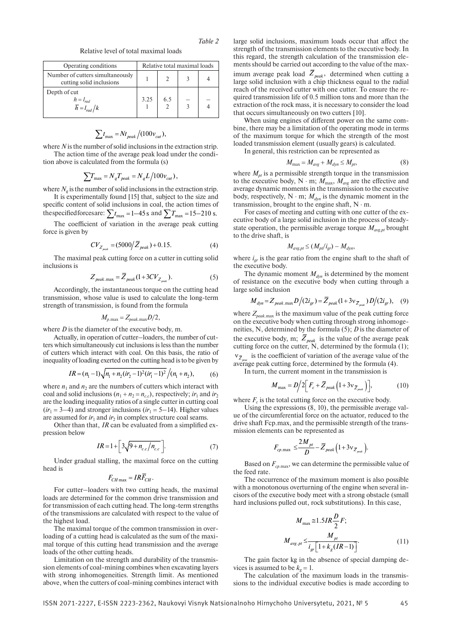*Table 2*

Relative level of total maximal loads

| Operating conditions                                         | Relative total maximal loads |     |   |  |
|--------------------------------------------------------------|------------------------------|-----|---|--|
| Number of cutters simultaneously<br>cutting solid inclusions |                              |     |   |  |
| Depth of cut<br>$h=l_{rad}$<br>$\overline{h} = l_{rad}/k$    | 3.25                         | 6.5 | 3 |  |

$$
\sum t_{\text{max}} = Nt_{\text{peak}}/(100v_{\text{cut}}),
$$

where *N* is the number of solid inclusions in the extraction strip.

The action time of the average peak load under the condition above is calculated from the formula (s)

$$
\sum T_{\text{max}} = N_q T_{peak} = N_q L / 100 v_{\text{cut}}),
$$

where  $N_a$  is the number of solid inclusions in the extraction strip. It is experimentally found [15] that, subject to the size and specific content of solid inclusions in coal, the action times of

the specified forces are:  $\sum t_{\text{max}} = 1-45 \text{ s}$  and  $\sum T_{\text{max}} = 15-210 \text{ s}$ .

The coefficient of variation in the average peak cutting force is given by

$$
CV_{Z_{peak}} = (5000/\bar{Z}_{peak}) + 0.15.
$$
 (4)

The maximal peak cutting force on a cutter in cutting solid inclusions is

$$
Z_{\text{peak.max}} = \overline{Z}_{\text{peak}} (1 + 3CV_{Z_{\text{peak}}}).
$$
 (5)

Accordingly, the instantaneous torque on the cutting head transmission, whose value is used to calculate the long-term strength of transmission, is found from the formula

$$
M_{p.\text{max}} = Z_{peak.\text{max}}D/2,
$$

where *D* is the diameter of the executive body, m.

Actually, in operation of cutter–loaders, the number of cutters which simultaneously cut inclusions is less than the number of cutters which interact with coal. On this basis, the ratio of inequality of loading exerted on the cutting head is to be given by

$$
IR = (n_1 - 1)\sqrt{n_1 + n_2(ir_2 - 1)^2(ir_1 - 1)^2}/(n_1 + n_2),
$$
 (6)

where  $n_1$  and  $n_2$  are the numbers of cutters which interact with coal and solid inclusions  $(n_1 + n_2 = n_{c,c})$ , respectively; *ir*<sub>1</sub> and *ir*<sub>2</sub> are the loading inequality ratios of a single cutter in cutting coal  $(ir_1 = 3-4)$  and stronger inclusions  $(ir_1 = 5-14)$ . Higher values are assumed for  $ir_1$  and  $ir_2$  in complex structure coal seams.

Other than that, *IR* can be evaluated from a simplified expression below

$$
IR = 1 + \left[3\sqrt{9 + n_{c.c}/n_{c.c}}\right].
$$
 (7)

Under gradual stalling, the maximal force on the cutting head is

$$
F_{CH\max} = IR\overline{F}_{CH}.
$$

For cutter–loaders with two cutting heads, the maximal loads are determined for the common drive transmission and for transmission of each cutting head. The long-term strengths of the transmissions are calculated with respect to the value of the highest load.

The maximal torque of the common transmission in overloading of a cutting head is calculated as the sum of the maximal torque of this cutting head transmission and the average loads of the other cutting heads.

Limitation on the strength and durability of the transmission elements of coal-mining combines when excavating layers with strong inhomogeneities. Strength limit. As mentioned above, when the cutters of coal-mining combines interact with

large solid inclusions, maximum loads occur that affect the strength of the transmission elements to the executive body. In this regard, the strength calculation of the transmission elements should be carried out according to the value of the maximum average peak load  $Z_{peak}$ , determined when cutting a large solid inclusion with a chip thickness equal to the radial reach of the received cutter with one cutter. To ensure the required transmission life of 0.5 million tons and more than the extraction of the rock mass, it is necessary to consider the load that occurs simultaneously on two cutters [10].

When using engines of different power on the same combine, there may be a limitation of the operating mode in terms of the maximum torque for which the strength of the most loaded transmission element (usually gears) is calculated.

In general, this restriction can be represented as

$$
M_{\text{max}} = M_{\text{avg}} + M_{\text{dyn}} \le M_{\text{pt}},\tag{8}
$$

where  $M_{pt}$  is a permissible strength torque in the transmission to the executive body, N  $\cdot$  m;  $M_{\text{max}}$ ,  $M_{\text{avg}}$  are the effective and average dynamic moments in the transmission to the executive body, respectively,  $N \cdot m$ ;  $M_{dyn}$  is the dynamic moment in the transmission, brought to the engine shaft,  $N \cdot m$ .

For cases of meeting and cutting with one cutter of the executive body of a large solid inclusion in the process of steadystate operation, the permissible average torque  $M_{\text{avg},pt}$  brought to the drive shaft, is

$$
M_{avg.pt} \leq (M_{pt}/i_{gr}) - M_{dyn},
$$

where  $i_{gr}$  is the gear ratio from the engine shaft to the shaft of the executive body.

The dynamic moment  $M_{dyn}$  is determined by the moment of resistance on the executive body when cutting through a large solid inclusion

$$
M_{dyn} = Z_{peak.\max} D/(2i_{gr}) = \overline{Z}_{peak}(1+3v_{\overline{Z}_{peak}}) D/(2i_{gr}), \quad (9)
$$

where  $Z_{\text{peak,max}}$  is the maximum value of the peak cutting force on the executive body when cutting through strong inhomogeneities, N, determined by the formula (5); *D* is the diameter of the executive body, m;  $Z_{peak}$  is the value of the average peak cutting force on the cutter, N, determined by the formula (1);  $v_{\bar{Z}_{\text{prec}}}$  is the coefficient of variation of the average value of the average peak cutting force, determined by the formula (4).

In turn, the current moment in the transmission is

$$
M_{\text{max}} = D/2 \Big[ F_c + \overline{Z}_{\text{peak}} \Big( 1 + 3 \nu_{\overline{Z}_{\text{peak}}} \Big) \Big], \tag{10}
$$

where  $F_c$  is the total cutting force on the executive body.

Using the expressions (8, 10), the permissible average value of the circumferential force on the actuator, reduced to the drive shaft Fcp.max, and the permissible strength of the transmission elements can be represented as

$$
F_{cp.\max} \leq \frac{2M_{pt}}{D} - \overline{Z}_{peak} \left(1 + 3v_{\overline{Z}_{peak}}\right).
$$

Based on  $F_{cp,\text{max}}$ , we can determine the permissible value of the feed rate.

The occurrence of the maximum moment is also possible with a monotonous overturning of the engine when several incisors of the executive body meet with a strong obstacle (small hard inclusions pulled out, rock substitutions). In this case,

$$
M_{\text{max}} \cong 1.5IR\frac{D}{2}F; M_{\text{avg.}pt} \le \frac{M_{\text{pt}}}{i_{\text{gr}}\left[1 + k_{\text{g}}(IR - 1)\right]}.
$$
 (11)

The gain factor kg in the absence of special damping devices is assumed to be  $k<sub>g</sub> = 1$ .

The calculation of the maximum loads in the transmissions to the individual executive bodies is made according to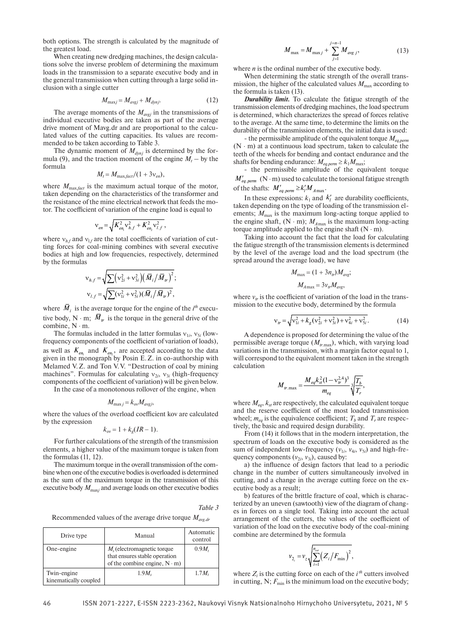both options. The strength is calculated by the magnitude of the greatest load.

When creating new dredging machines, the design calculations solve the inverse problem of determining the maximum loads in the transmission to a separate executive body and in the general transmission when cutting through a large solid inclusion with a single cutter

$$
M_{\text{max}j} = M_{\text{avg}j} + M_{\text{dyn}j}.\tag{12}
$$

The average moments of the  $M_{avgj}$  in the transmissions of individual executive bodies are taken as part of the average drive moment of Mavg.dr and are proportional to the calculated values of the cutting capacities. Its values are recommended to be taken according to Table 3.

The dynamic moment of  $M_{dynj}$  is determined by the formula (9), and the traction moment of the engine  $M_t$  – by the formula

$$
M_t = M_{\text{max,fact}}/(1+3v_{en}),
$$

where  $M_{\text{max,fact}}$  is the maximum actual torque of the motor, taken depending on the characteristics of the transformer and the resistance of the mine electrical network that feeds the motor. The coefficient of variation of the engine load is equal to

$$
v_{en} = \sqrt{K_{en_1}^2 v_{h,f}^2 + K_{en_2}^2 v_{l,f}^2},
$$

where  $v_{h,f}$  and  $v_{h,f}$  are the total coefficients of variation of cutting forces for coal-mining combines with several executive bodies at high and low frequencies, respectively, determined by the formulas

$$
v_{h,f} = \sqrt{\sum (v_{2i}^2 + v_{3i}^2) (\bar{M}_i / \bar{M}_i)^2};
$$
  

$$
v_{l,f} = \sqrt{\sum (v_{1i}^2 + v_{5i}^2) (\bar{M}_i / \bar{M}_i)^2},
$$

where  $M_i$  is the average torque for the engine of the  $i<sup>th</sup>$  executive body, N  $\cdot$  m;  $\overline{M}_{tr}$  is the torque in the general drive of the combine, N ⋅ m.

The formulas included in the latter formulas  $v_{1i}$ ,  $v_{5i}$  (lowfrequency components of the coefficient of variation of loads), as well as  $K_{en_1}$  and  $K_{en_2}$ , are accepted according to the data given in the monograph by Posin E.Z. in co-authorship with Melamed V.Z. and Ton V.V. "Destruction of coal by mining machines". Formulas for calculating  $v_{2i}$ ,  $v_{3i}$  (high-frequency components of the coefficient of variation) will be given below.

In the case of a monotonous rollover of the engine, when

$$
M_{\max j} = k_{ov} M_{avgj},
$$

where the values of the overload coefficient kov are calculated by the expression

$$
k_{ov} = 1 + k_g (IR - 1).
$$

For further calculations of the strength of the transmission elements, a higher value of the maximum torque is taken from the formulas (11, 12).

The maximum torque in the overall transmission of the combine when one of the executive bodies is overloaded is determined as the sum of the maximum torque in the transmission of this executive body  $M_{\rm maxj}$  and average loads on other executive bodies

#### *Table 3*

Recommended values of the average drive torque *Mavg.dr*

| Drive type                           | Manual                                                                                                | Automatic<br>control |
|--------------------------------------|-------------------------------------------------------------------------------------------------------|----------------------|
| One-engine                           | $Ms$ (electromagnetic torque<br>that ensures stable operation<br>of the combine engine, $N \cdot m$ ) | $0.9M_t$             |
| Twin-engine<br>kinematically coupled | $1.9M_{s}$                                                                                            | $1.7M_t$             |

$$
M_{\text{max}} = M_{\text{max }j} + \sum_{j=1}^{j=n-1} M_{\text{avg }j},
$$
 (13)

where *n* is the ordinal number of the executive body.

When determining the static strength of the overall transmission, the higher of the calculated values  $M_{\text{max}}$  according to the formula is taken (13).

*Durability limit.* To calculate the fatigue strength of the transmission elements of dredging machines, the load spectrum is determined, which characterizes the spread of forces relative to the average. At the same time, to determine the limits on the durability of the transmission elements, the initial data is used:

- the permissible amplitude of the equivalent torque *Meq.perm*  $(N \cdot m)$  at a continuous load spectrum, taken to calculate the teeth of the wheels for bending and contact endurance and the shafts for bending endurance:  $M_{eq,perm} \ge k_1 M_{max}$ ;

- the permissible amplitude of the equivalent torque  $M'_{eq. perm}$  (N · m) used to calculate the torsional fatigue strength of the shafts:  $M'_{ea. perm} \geq k'_l M_{A max}$ .

In these expressions:  $k_1$  and  $k'_i$  are durability coefficients, taken depending on the type of loading of the transmission elements;  $M_{\text{max}}$  is the maximum long-acting torque applied to the engine shaft,  $(N \cdot m)$ ;  $M_{A max}$  is the maximum long-acting torque amplitude applied to the engine shaft  $(N \cdot m)$ .

Taking into account the fact that the load for calculating the fatigue strength of the transmission elements is determined by the level of the average load and the load spectrum (the spread around the average load), we have

$$
M_{\text{max}} = (1 + 3n_{tr})M_{avg};
$$
  

$$
M_{A\text{max}} = 3v_{tr}M_{avg},
$$

where  $v_{tr}$  is the coefficient of variation of the load in the transmission to the executive body, determined by the formula

$$
v_{tr} = \sqrt{v_{1i}^2 + k_g (v_{2i}^2 + v_{3i}^2) + v_{4i}^2 + v_{5i}^2}.
$$
 (14)

A dependence is proposed for determining the value of the permissible average torque  $(M_{tr,max})$ , which, with varying load variations in the transmission, with a margin factor equal to 1, will correspond to the equivalent moment taken in the strength calculation

$$
M_{tr.\max} = \frac{M_{eq}k_{st}^2(1 - \mathbf{v}_{tr}^{2,4})^3}{m_{eq}} \sqrt[3]{\frac{T_b}{T_r}},
$$

where  $M_{eq}$ ,  $k_{st}$  are respectively, the calculated equivalent torque and the reserve coefficient of the most loaded transmission wheel;  $m_{eq}$  is the equivalence coefficient;  $T_b$  and  $T_r$  are respectively, the basic and required design durability.

From (14) it follows that in the modern interpretation, the spectrum of loads on the executive body is considered as the sum of independent low-frequency  $(v_{1i}, v_{4i}, v_{5i})$  and high-frequency components  $(v_{2i}, v_{3i})$ , caused by:

a) the influence of design factors that lead to a periodic change in the number of cutters simultaneously involved in cutting, and a change in the average cutting force on the executive body as a result:

b) features of the brittle fracture of coal, which is characterized by an uneven (sawtooth) view of the diagram of changes in forces on a single tool. Taking into account the actual arrangement of the cutters, the values of the coefficient of variation of the load on the executive body of the coal-mining combine are determined by the formula

$$
v_{2_i} = v_z \sqrt{\sum_{i=1}^{n_{\text{cut}}}(Z_i/F_{\text{min}})^2}
$$
,

where  $Z_i$  is the cutting force on each of the  $i^{th}$  cutters involved in cutting, N;  $F_{\text{min}}$  is the minimum load on the executive body;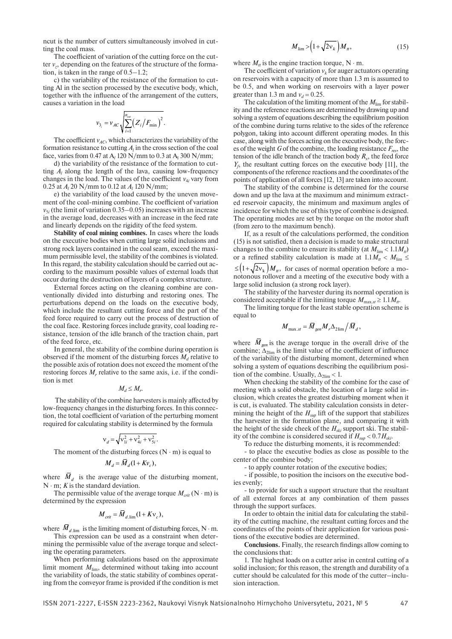ncut is the number of cutters simultaneously involved in cutting the coal mass.

The coefficient of variation of the cutting force on the cutter  $v_z$ , depending on the features of the structure of the formation, is taken in the range of 0.5–1.2;

c) the variability of the resistance of the formation to cutting Al in the section processed by the executive body, which, together with the influence of the arrangement of the cutters, causes a variation in the load

$$
v_{3_i} = v_{AC} \sqrt{\sum_{i=1}^{n_{cut}} (Z_i/F_{\min})^2}.
$$

The coefficient  $v_{AC}$ , which characterizes the variability of the formation resistance to cutting  $A_l$  in the cross section of the coal face, varies from 0.47 at A<sub>l</sub> 120 N/mm to 0.3 at A<sub>l</sub> 300 N/mm;

d) the variability of the resistance of the formation to cutting  $A_l$  along the length of the lava, causing low-frequency changes in the load. The values of the coefficient  $v_{4i}$  vary from 0.25 at *Al* 20 N/mm to 0.12 at *Al* 120 N/mm;

e) the variability of the load caused by the uneven movement of the coal-mining combine. The coefficient of variation  $v_{5i}$  (the limit of variation  $0.35-0.05$ ) increases with an increase in the average load, decreases with an increase in the feed rate and linearly depends on the rigidity of the feed system.

**Stability of coal mining combines.** In cases where the loads on the executive bodies when cutting large solid inclusions and strong rock layers contained in the coal seam, exceed the maximum permissible level, the stability of the combines is violated. In this regard, the stability calculation should be carried out according to the maximum possible values of external loads that occur during the destruction of layers of a complex structure.

External forces acting on the cleaning combine are conventionally divided into disturbing and restoring ones. The perturbations depend on the loads on the executive body, which include the resultant cutting force and the part of the feed force required to carry out the process of destruction of the coal face. Restoring forces include gravity, coal loading resistance, tension of the idle branch of the traction chain, part of the feed force, etc.

In general, the stability of the combine during operation is observed if the moment of the disturbing forces  $M_d$  relative to the possible axis of rotation does not exceed the moment of the restoring forces  $M<sub>r</sub>$  relative to the same axis, i.e. if the condition is met

 $M_d \leq M_r$ .

 The stability of the combine harvesters is mainly affected by low-frequency changes in the disturbing forces. In this connection, the total coefficient of variation of the perturbing moment required for calculating stability is determined by the formula

$$
v_d = \sqrt{v_{1i}^2 + v_{4i}^2 + v_{5i}^2}.
$$

The moment of the disturbing forces ( $N \cdot m$ ) is equal to

$$
M_d = \overline{M}_d (1 + K v_c),
$$

where  $\overline{M}_d$  is the average value of the disturbing moment, N ⋅ m; *K* is the standard deviation.

The permissible value of the average torque  $M_{crit}$  (N ⋅ m) is determined by the expression

$$
M_{\text{crit}} = \overline{M}_{d.\text{lim}} (1 + K v_c),
$$

where  $M_{d,lim}$  is the limiting moment of disturbing forces, N ⋅ m.

This expression can be used as a constraint when determining the permissible value of the average torque and selecting the operating parameters.

When performing calculations based on the approximate limit moment  $M_{\text{lim}}$ , determined without taking into account the variability of loads, the static stability of combines operating from the conveyor frame is provided if the condition is met

$$
M_{\lim} > \left(1 + \sqrt{2v_k}\right) M_{tt},\tag{15}
$$

where  $M_t$  is the engine traction torque, N  $\cdot$  m.

The coefficient of variation  $v_k$  for auger actuators operating on reservoirs with a capacity of more than 1.3 m is assumed to be 0.5, and when working on reservoirs with a layer power greater than 1.3 m and  $v_d = 0.25$ .

The calculation of the limiting moment of the  $M_{\text{lim}}$  for stability and the reference reactions are determined by drawing up and solving a system of equations describing the equilibrium position of the combine during turns relative to the sides of the reference polygon, taking into account different operating modes. In this case, along with the forces acting on the executive body, the forces of the weight *G* of the combine, the loading resistance  $F_{res}$ , the tension of the idle branch of the traction body  $R<sub>x</sub>$ , the feed force  $Y_f$ , the resultant cutting forces on the executive body [11], the components of the reference reactions and the coordinates of the points of application of all forces [12, 13] are taken into account.

The stability of the combine is determined for the course down and up the lava at the maximum and minimum extracted reservoir capacity, the minimum and maximum angles of incidence for which the use of this type of combine is designed. The operating modes are set by the torque on the motor shaft (from zero to the maximum bench).

If, as a result of the calculations performed, the condition (15) is not satisfied, then a decision is made to make structural changes to the combine to ensure its stability (at  $M_{\text{lim}} < 1.1 M_{\textit{th}}$ ) or a refined stability calculation is made at  $1.1M_t < M_{\text{lim}} \le$  $\leq (1+\sqrt{2}v_k) M_{tt}$ , for cases of normal operation before a monotonous rollover and a meeting of the executive body with a large solid inclusion (a strong rock layer).

The stability of the harvester during its normal operation is considered acceptable if the limiting torque  $M_{\text{max.}st} \ge 1.1 M_{tt}$ .

The limiting torque for the least stable operation scheme is equal to

$$
M_{\text{max}.st} = \overline{M}_{gen} M_r \Delta_{2\text{lim}} / \overline{M}_d,
$$

where  $M_{gen}$  is the average torque in the overall drive of the combine;  $\Delta_{2\text{lim}}$  is the limit value of the coefficient of influence of the variability of the disturbing moment, determined when solving a system of equations describing the equilibrium position of the combine. Usually,  $\Delta_{2\text{lim}} < 1$ .

When checking the stability of the combine for the case of meeting with a solid obstacle, the location of a large solid inclusion, which creates the greatest disturbing moment when it is cut, is evaluated. The stability calculation consists in determining the height of the  $H_{sup}$  lift of the support that stabilizes the harvester in the formation plane, and comparing it with the height of the side cheek of the  $H_{ski}$  support ski. The stability of the combine is considered secured if  $H_{syn} < 0.7H_{vir}$ .

To reduce the disturbing moments, it is recommended:

- to place the executive bodies as close as possible to the center of the combine body;

- to apply counter rotation of the executive bodies;

- if possible, to position the incisors on the executive bodies evenly;

- to provide for such a support structure that the resultant of all external forces at any combination of them passes through the support surfaces.

In order to obtain the initial data for calculating the stability of the cutting machine, the resultant cutting forces and the coordinates of the points of their application for various positions of the executive bodies are determined.

**Conclusions.** Finally, the research findings allow coming to the conclusions that:

1. The highest loads on a cutter arise in central cutting of a solid inclusion; for this reason, the strength and durability of a cutter should be calculated for this mode of the cutter–inclusion interaction.